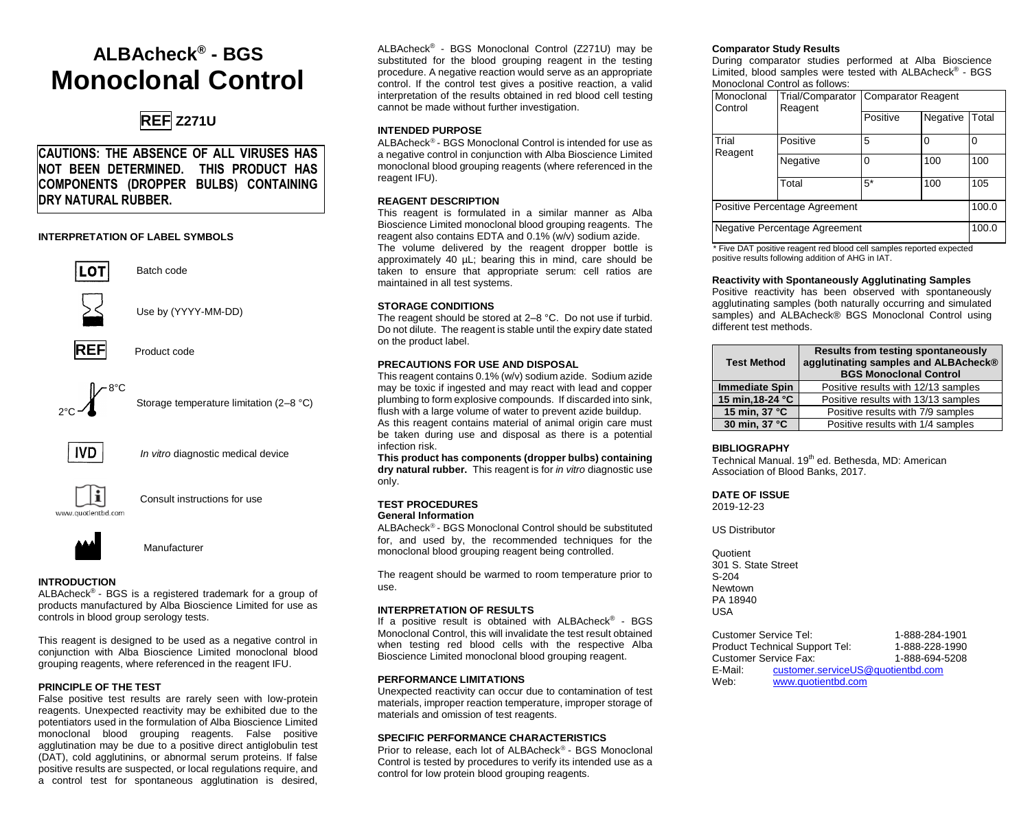# **ALBAcheck® - BGS Monoclonal Control**

## **REF Z271U**

**CAUTIONS: THE ABSENCE OF ALL VIRUSES HAS NOT BEEN DETERMINED. THIS PRODUCT HAS COMPONENTS (DROPPER BULBS) CONTAINING DRY NATURAL RUBBER.**

## **INTERPRETATION OF LABEL SYMBOLS**



Batch code

Use by (YYYY-MM-DD)





Storage temperature limitation (2–8 °C)



 *In vitro* diagnostic medical device



Consult instructions for use



Manufacturer

## **INTRODUCTION**

ALBAcheck<sup>®</sup> - BGS is a registered trademark for a group of products manufactured by Alba Bioscience Limited for use as controls in blood group serology tests.

This reagent is designed to be used as a negative control in conjunction with Alba Bioscience Limited monoclonal blood grouping reagents, where referenced in the reagent IFU.

## **PRINCIPLE OF THE TEST**

False positive test results are rarely seen with low-protein reagents. Unexpected reactivity may be exhibited due to the potentiators used in the formulation of Alba Bioscience Limited monoclonal blood grouping reagents. False positive agglutination may be due to a positive direct antiglobulin test (DAT), cold agglutinins, or abnormal serum proteins. If false positive results are suspected, or local regulations require, and a control test for spontaneous agglutination is desired,

ALBAcheck® - BGS Monoclonal Control (Z271U) may be substituted for the blood grouping reagent in the testing procedure. A negative reaction would serve as an appropriate control. If the control test gives a positive reaction, a valid interpretation of the results obtained in red blood cell testing cannot be made without further investigation.

## **INTENDED PURPOSE**

ALBAcheck<sup>®</sup> - BGS Monoclonal Control is intended for use as a negative control in conjunction with Alba Bioscience Limited monoclonal blood grouping reagents (where referenced in the reagent IFU).

## **REAGENT DESCRIPTION**

This reagent is formulated in a similar manner as Alba Bioscience Limited monoclonal blood grouping reagents. The reagent also contains EDTA and 0.1% (w/v) sodium azide. The volume delivered by the reagent dropper bottle is approximately 40 µL; bearing this in mind, care should be taken to ensure that appropriate serum: cell ratios are maintained in all test systems.

## **STORAGE CONDITIONS**

The reagent should be stored at 2–8 °C. Do not use if turbid. Do not dilute. The reagent is stable until the expiry date stated on the product label.

## **PRECAUTIONS FOR USE AND DISPOSAL**

This reagent contains 0.1% (w/v) sodium azide. Sodium azide may be toxic if ingested and may react with lead and copper plumbing to form explosive compounds. If discarded into sink, flush with a large volume of water to prevent azide buildup. As this reagent contains material of animal origin care must be taken during use and disposal as there is a potential infection risk.

**This product has components (dropper bulbs) containing dry natural rubber.** This reagent is for *in vitro* diagnostic use only.

#### **TEST PROCEDURES General Information**

ALBAcheck<sup>®</sup> - BGS Monoclonal Control should be substituted for, and used by, the recommended techniques for the monoclonal blood grouping reagent being controlled.

The reagent should be warmed to room temperature prior to use.

## **INTERPRETATION OF RESULTS**

If a positive result is obtained with ALBAcheck<sup>®</sup> - BGS Monoclonal Control, this will invalidate the test result obtained when testing red blood cells with the respective Alba Bioscience Limited monoclonal blood grouping reagent.

## **PERFORMANCE LIMITATIONS**

Unexpected reactivity can occur due to contamination of test materials, improper reaction temperature, improper storage of materials and omission of test reagents.

## **SPECIFIC PERFORMANCE CHARACTERISTICS**

Prior to release, each lot of ALBAcheck<sup>®</sup> - BGS Monoclonal Control is tested by procedures to verify its intended use as a control for low protein blood grouping reagents.

## **Comparator Study Results**

During comparator studies performed at Alba Bioscience Limited, blood samples were tested with ALBAcheck® - BGS Monoclonal Control as follows:

| Monoclonal<br>Control         | Reagent  | Trial/Comparator Comparator Reagent |          |       |
|-------------------------------|----------|-------------------------------------|----------|-------|
|                               |          | Positive                            | Negative | Total |
| Trial<br>Reagent              | Positive | 5                                   | ŋ        |       |
|                               | Negative | 0                                   | 100      | 100   |
|                               | Total    | 5*                                  | 100      | 105   |
| Positive Percentage Agreement |          |                                     |          | 100.0 |
| Negative Percentage Agreement |          |                                     |          | 100.0 |

\* Five DAT positive reagent red blood cell samples reported expected positive results following addition of AHG in IAT.

## **Reactivity with Spontaneously Agglutinating Samples**

Positive reactivity has been observed with spontaneously agglutinating samples (both naturally occurring and simulated samples) and ALBAcheck® BGS Monoclonal Control using different test methods.

| <b>Test Method</b>    | <b>Results from testing spontaneously</b><br>agglutinating samples and ALBAcheck®<br><b>BGS Monoclonal Control</b> |  |
|-----------------------|--------------------------------------------------------------------------------------------------------------------|--|
| <b>Immediate Spin</b> | Positive results with 12/13 samples                                                                                |  |
| 15 min, 18-24 °C      | Positive results with 13/13 samples                                                                                |  |
| 15 min, 37 °C         | Positive results with 7/9 samples                                                                                  |  |
| 30 min, 37 °C         | Positive results with 1/4 samples                                                                                  |  |

## **BIBLIOGRAPHY**

Technical Manual. 19<sup>th</sup> ed. Bethesda, MD: American Association of Blood Banks, 2017.

## **DATE OF ISSUE**

2019-12-23

US Distributor

Quotient 301 S. State Street S-204 Newtown PA 18940  $IISA$ 

Customer Service Tel: 1-888-284-1901<br>Product Technical Support Tel: 1-888-228-1990 Product Technical Support Tel: 1-888-228-1990<br>Customer Service Fax: 1-888-694-5208 Customer Service Fax:<br>F-Mail: customer [customer.serviceUS@quotientbd.com](mailto:customer.serviceUS@quotientbd.com) Web: [www.quotientbd.com](http://www.quotientbd.com/)